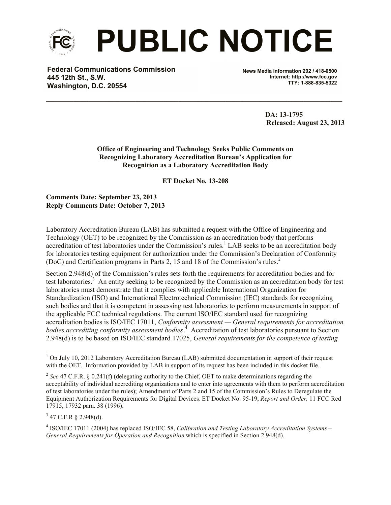

**Federal Communications Commission 445 12th St., S.W. Washington, D.C. 20554**

**News Media Information 202 / 418-0500 Internet: http://www.fcc.gov TTY: 1-888-835-5322**

> **DA: 13-1795 Released: August 23, 2013**

**Office of Engineering and Technology Seeks Public Comments on Recognizing Laboratory Accreditation Bureau's Application for Recognition as a Laboratory Accreditation Body**

**\_\_\_\_\_\_\_\_\_\_\_\_\_\_\_\_\_\_\_\_\_\_\_\_\_\_\_\_\_\_\_\_\_\_\_\_\_\_\_\_\_\_\_\_\_\_\_\_\_\_\_\_\_\_\_\_\_\_\_\_\_\_\_\_\_\_\_\_\_\_\_\_\_\_\_\_**

**ET Docket No. 13-208**

**Comments Date: September 23, 2013 Reply Comments Date: October 7, 2013**

Laboratory Accreditation Bureau (LAB) has submitted a request with the Office of Engineering and Technology (OET) to be recognized by the Commission as an accreditation body that performs accreditation of test laboratories under the Commission's rules.<sup>1</sup> LAB seeks to be an accreditation body for laboratories testing equipment for authorization under the Commission's Declaration of Conformity (DoC) and Certification programs in Parts 2, 15 and 18 of the Commission's rules. 2

Section 2.948(d) of the Commission's rules sets forth the requirements for accreditation bodies and for test laboratories.<sup>3</sup> An entity seeking to be recognized by the Commission as an accreditation body for test laboratories must demonstrate that it complies with applicable International Organization for Standardization (ISO) and International Electrotechnical Commission (IEC) standards for recognizing such bodies and that it is competent in assessing test laboratories to perform measurements in support of the applicable FCC technical regulations. The current ISO/IEC standard used for recognizing accreditation bodies is ISO/IEC 17011, *Conformity assessment — General requirements for accreditation bodies accrediting conformity assessment bodies*. 4 Accreditation of test laboratories pursuant to Section 2.948(d) is to be based on ISO/IEC standard 17025, *General requirements for the competence of testing* 

 $3$  47 C.F.R § 2.948(d).

l

<sup>&</sup>lt;sup>1</sup> On July 10, 2012 Laboratory Accreditation Bureau (LAB) submitted documentation in support of their request with the OET. Information provided by LAB in support of its request has been included in this docket file.

<sup>&</sup>lt;sup>2</sup> See 47 C.F.R. § 0.241(f) (delegating authority to the Chief, OET to make determinations regarding the acceptability of individual accrediting organizations and to enter into agreements with them to perform accreditation of test laboratories under the rules); Amendment of Parts 2 and 15 of the Commission's Rules to Deregulate the Equipment Authorization Requirements for Digital Devices*,* ET Docket No. 95-19, *Report and Order,* 11 FCC Rcd 17915, 17932 para. 38 (1996).

<sup>4</sup> ISO/IEC 17011 (2004) has replaced ISO/IEC 58, *Calibration and Testing Laboratory Accreditation Systems – General Requirements for Operation and Recognition* which is specified in Section 2.948(d).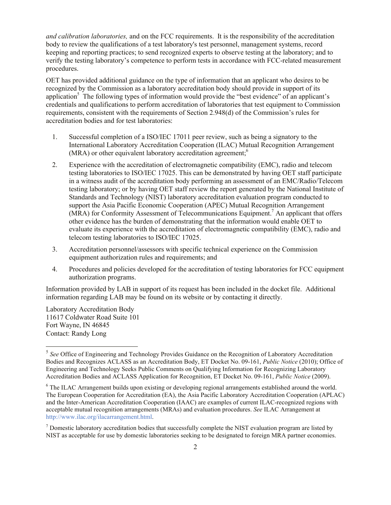*and calibration laboratories,* and on the FCC requirements. It is the responsibility of the accreditation body to review the qualifications of a test laboratory's test personnel, management systems, record keeping and reporting practices; to send recognized experts to observe testing at the laboratory; and to verify the testing laboratory's competence to perform tests in accordance with FCC-related measurement procedures.

OET has provided additional guidance on the type of information that an applicant who desires to be recognized by the Commission as a laboratory accreditation body should provide in support of its application<sup>5</sup> The following types of information would provide the "best evidence" of an applicant's credentials and qualifications to perform accreditation of laboratories that test equipment to Commission requirements, consistent with the requirements of Section 2.948(d) of the Commission's rules for accreditation bodies and for test laboratories:

- 1. Successful completion of a ISO/IEC 17011 peer review, such as being a signatory to the International Laboratory Accreditation Cooperation (ILAC) Mutual Recognition Arrangement (MRA) or other equivalent laboratory accreditation agreement;<sup>6</sup>
- 2. Experience with the accreditation of electromagnetic compatibility (EMC), radio and telecom testing laboratories to ISO/IEC 17025. This can be demonstrated by having OET staff participate in a witness audit of the accreditation body performing an assessment of an EMC/Radio/Telecom testing laboratory; or by having OET staff review the report generated by the National Institute of Standards and Technology (NIST) laboratory accreditation evaluation program conducted to support the Asia Pacific Economic Cooperation (APEC) Mutual Recognition Arrangement (MRA) for Conformity Assessment of Telecommunications Equipment.<sup>7</sup> An applicant that offers other evidence has the burden of demonstrating that the information would enable OET to evaluate its experience with the accreditation of electromagnetic compatibility (EMC), radio and telecom testing laboratories to ISO/IEC 17025.
- 3. Accreditation personnel/assessors with specific technical experience on the Commission equipment authorization rules and requirements; and
- 4. Procedures and policies developed for the accreditation of testing laboratories for FCC equipment authorization programs.

Information provided by LAB in support of its request has been included in the docket file. Additional information regarding LAB may be found on its website or by contacting it directly.

Laboratory Accreditation Body 11617 Coldwater Road Suite 101 Fort Wayne, IN 46845 Contact: Randy Long

<sup>&</sup>lt;sup>5</sup> See Office of Engineering and Technology Provides Guidance on the Recognition of Laboratory Accreditation Bodies and Recognizes ACLASS as an Accreditation Body, ET Docket No. 09-161, *Public Notice* (2010); Office of Engineering and Technology Seeks Public Comments on Qualifying Information for Recognizing Laboratory Accreditation Bodies and ACLASS Application for Recognition, ET Docket No. 09-161, *Public Notice* (2009).

<sup>6</sup> The ILAC Arrangement builds upon existing or developing regional arrangements established around the world. The European Cooperation for Accreditation (EA), the Asia Pacific Laboratory Accreditation Cooperation (APLAC) and the Inter-American Accreditation Cooperation (IAAC) are examples of current ILAC-recognized regions with acceptable mutual recognition arrangements (MRAs) and evaluation procedures. *See* ILAC Arrangement at http://www.ilac.org/ilacarrangement.html.

<sup>&</sup>lt;sup>7</sup> Domestic laboratory accreditation bodies that successfully complete the NIST evaluation program are listed by NIST as acceptable for use by domestic laboratories seeking to be designated to foreign MRA partner economies.